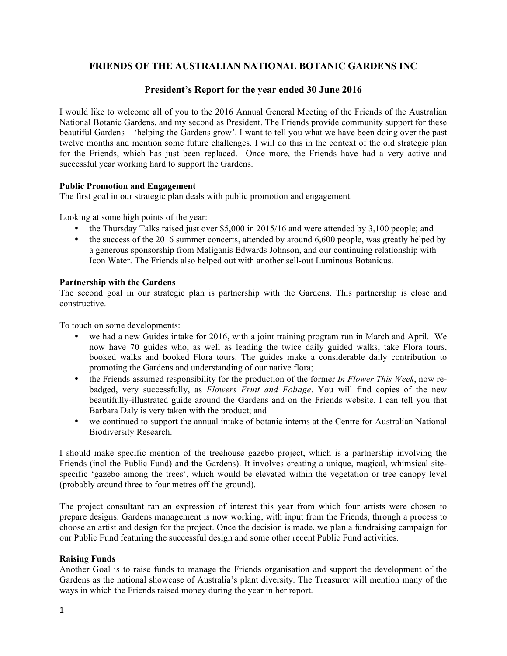# **FRIENDS OF THE AUSTRALIAN NATIONAL BOTANIC GARDENS INC**

# **President's Report for the year ended 30 June 2016**

I would like to welcome all of you to the 2016 Annual General Meeting of the Friends of the Australian National Botanic Gardens, and my second as President. The Friends provide community support for these beautiful Gardens – 'helping the Gardens grow'. I want to tell you what we have been doing over the past twelve months and mention some future challenges. I will do this in the context of the old strategic plan for the Friends, which has just been replaced. Once more, the Friends have had a very active and successful year working hard to support the Gardens.

### **Public Promotion and Engagement**

The first goal in our strategic plan deals with public promotion and engagement.

Looking at some high points of the year:

- the Thursday Talks raised just over \$5,000 in 2015/16 and were attended by 3,100 people; and
- the success of the 2016 summer concerts, attended by around 6,600 people, was greatly helped by a generous sponsorship from Maliganis Edwards Johnson, and our continuing relationship with Icon Water. The Friends also helped out with another sell-out Luminous Botanicus.

### **Partnership with the Gardens**

The second goal in our strategic plan is partnership with the Gardens. This partnership is close and constructive.

To touch on some developments:

- we had a new Guides intake for 2016, with a joint training program run in March and April. We now have 70 guides who, as well as leading the twice daily guided walks, take Flora tours, booked walks and booked Flora tours. The guides make a considerable daily contribution to promoting the Gardens and understanding of our native flora;
- the Friends assumed responsibility for the production of the former *In Flower This Week*, now rebadged, very successfully, as *Flowers Fruit and Foliage*. You will find copies of the new beautifully-illustrated guide around the Gardens and on the Friends website. I can tell you that Barbara Daly is very taken with the product; and
- we continued to support the annual intake of botanic interns at the Centre for Australian National Biodiversity Research.

I should make specific mention of the treehouse gazebo project, which is a partnership involving the Friends (incl the Public Fund) and the Gardens). It involves creating a unique, magical, whimsical sitespecific 'gazebo among the trees', which would be elevated within the vegetation or tree canopy level (probably around three to four metres off the ground).

The project consultant ran an expression of interest this year from which four artists were chosen to prepare designs. Gardens management is now working, with input from the Friends, through a process to choose an artist and design for the project. Once the decision is made, we plan a fundraising campaign for our Public Fund featuring the successful design and some other recent Public Fund activities.

## **Raising Funds**

Another Goal is to raise funds to manage the Friends organisation and support the development of the Gardens as the national showcase of Australia's plant diversity. The Treasurer will mention many of the ways in which the Friends raised money during the year in her report.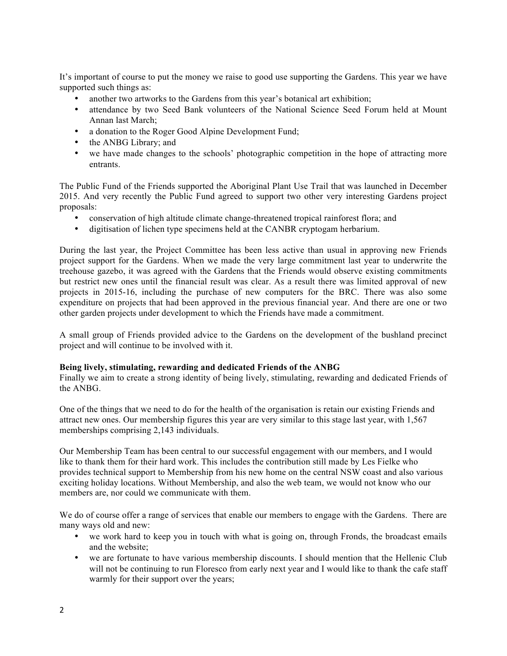It's important of course to put the money we raise to good use supporting the Gardens. This year we have supported such things as:

- another two artworks to the Gardens from this year's botanical art exhibition;
- attendance by two Seed Bank volunteers of the National Science Seed Forum held at Mount Annan last March;
- a donation to the Roger Good Alpine Development Fund;
- the ANBG Library; and
- we have made changes to the schools' photographic competition in the hope of attracting more entrants.

The Public Fund of the Friends supported the Aboriginal Plant Use Trail that was launched in December 2015. And very recently the Public Fund agreed to support two other very interesting Gardens project proposals:

- conservation of high altitude climate change-threatened tropical rainforest flora; and
- digitisation of lichen type specimens held at the CANBR cryptogam herbarium.

During the last year, the Project Committee has been less active than usual in approving new Friends project support for the Gardens. When we made the very large commitment last year to underwrite the treehouse gazebo, it was agreed with the Gardens that the Friends would observe existing commitments but restrict new ones until the financial result was clear. As a result there was limited approval of new projects in 2015-16, including the purchase of new computers for the BRC. There was also some expenditure on projects that had been approved in the previous financial year. And there are one or two other garden projects under development to which the Friends have made a commitment.

A small group of Friends provided advice to the Gardens on the development of the bushland precinct project and will continue to be involved with it.

### **Being lively, stimulating, rewarding and dedicated Friends of the ANBG**

Finally we aim to create a strong identity of being lively, stimulating, rewarding and dedicated Friends of the ANBG.

One of the things that we need to do for the health of the organisation is retain our existing Friends and attract new ones. Our membership figures this year are very similar to this stage last year, with 1,567 memberships comprising 2,143 individuals.

Our Membership Team has been central to our successful engagement with our members, and I would like to thank them for their hard work. This includes the contribution still made by Les Fielke who provides technical support to Membership from his new home on the central NSW coast and also various exciting holiday locations. Without Membership, and also the web team, we would not know who our members are, nor could we communicate with them.

We do of course offer a range of services that enable our members to engage with the Gardens. There are many ways old and new:

- we work hard to keep you in touch with what is going on, through Fronds, the broadcast emails and the website;
- we are fortunate to have various membership discounts. I should mention that the Hellenic Club will not be continuing to run Floresco from early next year and I would like to thank the cafe staff warmly for their support over the years;